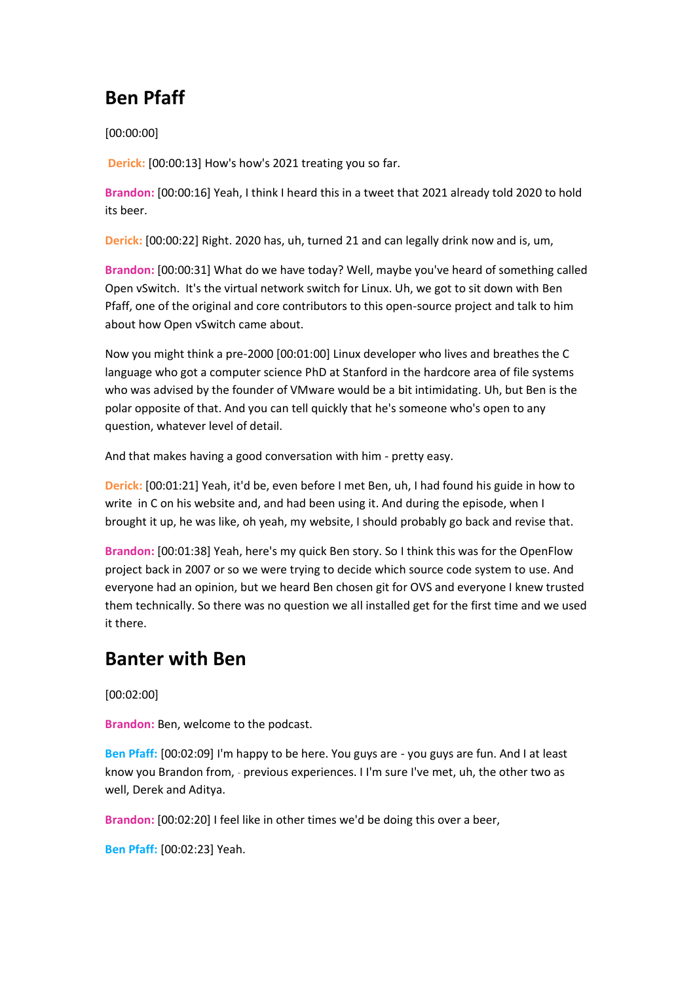## **Ben Pfaff**

[00:00:00]

**Derick:** [00:00:13] How's how's 2021 treating you so far.

**Brandon:** [00:00:16] Yeah, I think I heard this in a tweet that 2021 already told 2020 to hold its beer.

**Derick:** [00:00:22] Right. 2020 has, uh, turned 21 and can legally drink now and is, um,

**Brandon:** [00:00:31] What do we have today? Well, maybe you've heard of something called Open vSwitch. It's the virtual network switch for Linux. Uh, we got to sit down with Ben Pfaff, one of the original and core contributors to this open-source project and talk to him about how Open vSwitch came about.

Now you might think a pre-2000 [00:01:00] Linux developer who lives and breathes the C language who got a computer science PhD at Stanford in the hardcore area of file systems who was advised by the founder of VMware would be a bit intimidating. Uh, but Ben is the polar opposite of that. And you can tell quickly that he's someone who's open to any question, whatever level of detail.

And that makes having a good conversation with him - pretty easy.

**Derick:** [00:01:21] Yeah, it'd be, even before I met Ben, uh, I had found his guide in how to write in C on his website and, and had been using it. And during the episode, when I brought it up, he was like, oh yeah, my website, I should probably go back and revise that.

**Brandon:** [00:01:38] Yeah, here's my quick Ben story. So I think this was for the OpenFlow project back in 2007 or so we were trying to decide which source code system to use. And everyone had an opinion, but we heard Ben chosen git for OVS and everyone I knew trusted them technically. So there was no question we all installed get for the first time and we used it there.

### **Banter with Ben**

[00:02:00]

**Brandon:** Ben, welcome to the podcast.

**Ben Pfaff:** [00:02:09] I'm happy to be here. You guys are - you guys are fun. And I at least know you Brandon from, - previous experiences. I I'm sure I've met, uh, the other two as well, Derek and Aditya.

**Brandon:** [00:02:20] I feel like in other times we'd be doing this over a beer,

**Ben Pfaff:** [00:02:23] Yeah.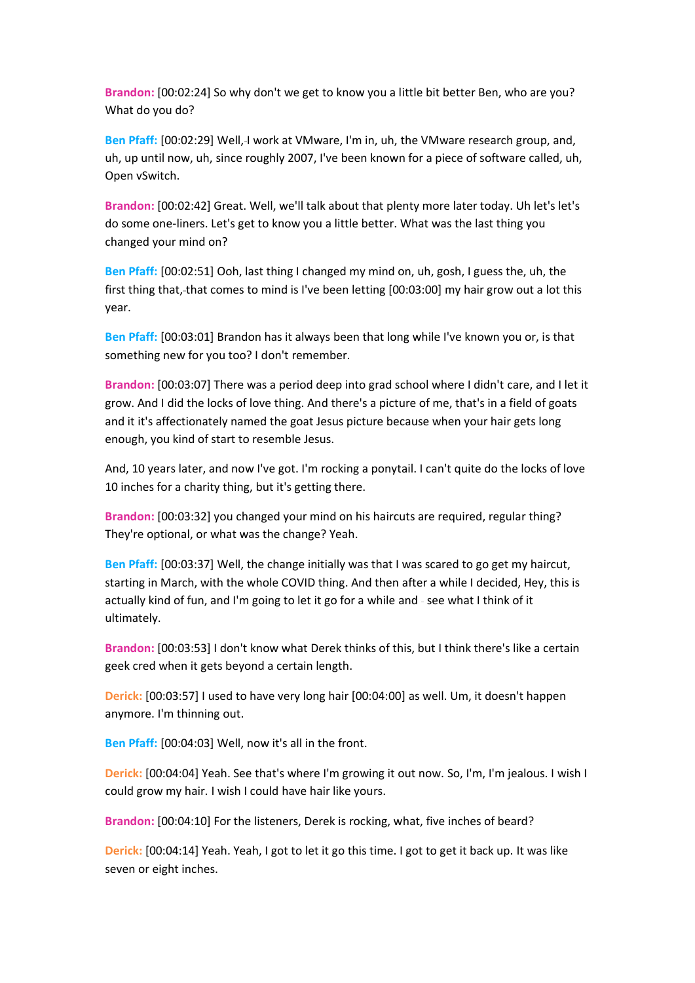**Brandon:** [00:02:24] So why don't we get to know you a little bit better Ben, who are you? What do you do?

Ben Pfaff: [00:02:29] Well,-I work at VMware, I'm in, uh, the VMware research group, and, uh, up until now, uh, since roughly 2007, I've been known for a piece of software called, uh, Open vSwitch.

**Brandon:** [00:02:42] Great. Well, we'll talk about that plenty more later today. Uh let's let's do some one-liners. Let's get to know you a little better. What was the last thing you changed your mind on?

**Ben Pfaff:** [00:02:51] Ooh, last thing I changed my mind on, uh, gosh, I guess the, uh, the first thing that, that comes to mind is I've been letting [00:03:00] my hair grow out a lot this year.

**Ben Pfaff:** [00:03:01] Brandon has it always been that long while I've known you or, is that something new for you too? I don't remember.

**Brandon:** [00:03:07] There was a period deep into grad school where I didn't care, and I let it grow. And I did the locks of love thing. And there's a picture of me, that's in a field of goats and it it's affectionately named the goat Jesus picture because when your hair gets long enough, you kind of start to resemble Jesus.

And, 10 years later, and now I've got. I'm rocking a ponytail. I can't quite do the locks of love 10 inches for a charity thing, but it's getting there.

**Brandon:** [00:03:32] you changed your mind on his haircuts are required, regular thing? They're optional, or what was the change? Yeah.

**Ben Pfaff:** [00:03:37] Well, the change initially was that I was scared to go get my haircut, starting in March, with the whole COVID thing. And then after a while I decided, Hey, this is actually kind of fun, and I'm going to let it go for a while and - see what I think of it ultimately.

**Brandon:** [00:03:53] I don't know what Derek thinks of this, but I think there's like a certain geek cred when it gets beyond a certain length.

**Derick:** [00:03:57] I used to have very long hair [00:04:00] as well. Um, it doesn't happen anymore. I'm thinning out.

**Ben Pfaff:** [00:04:03] Well, now it's all in the front.

**Derick:** [00:04:04] Yeah. See that's where I'm growing it out now. So, I'm, I'm jealous. I wish I could grow my hair. I wish I could have hair like yours.

**Brandon:** [00:04:10] For the listeners, Derek is rocking, what, five inches of beard?

**Derick:** [00:04:14] Yeah. Yeah, I got to let it go this time. I got to get it back up. It was like seven or eight inches.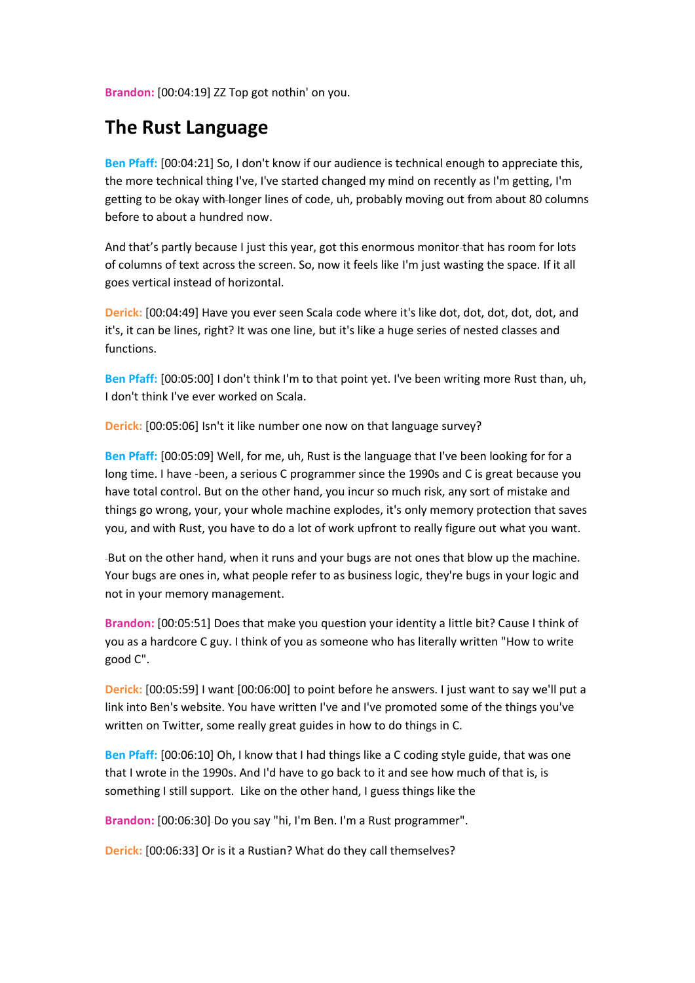**Brandon:** [00:04:19] ZZ Top got nothin' on you.

### **The Rust Language**

**Ben Pfaff:** [00:04:21] So, I don't know if our audience is technical enough to appreciate this, the more technical thing I've, I've started changed my mind on recently as I'm getting, I'm getting to be okay with longer lines of code, uh, probably moving out from about 80 columns before to about a hundred now.

And that's partly because I just this year, got this enormous monitor that has room for lots of columns of text across the screen. So, now it feels like I'm just wasting the space. If it all goes vertical instead of horizontal.

**Derick:** [00:04:49] Have you ever seen Scala code where it's like dot, dot, dot, dot, dot, and it's, it can be lines, right? It was one line, but it's like a huge series of nested classes and functions.

**Ben Pfaff:** [00:05:00] I don't think I'm to that point yet. I've been writing more Rust than, uh, I don't think I've ever worked on Scala.

**Derick:** [00:05:06] Isn't it like number one now on that language survey?

**Ben Pfaff:** [00:05:09] Well, for me, uh, Rust is the language that I've been looking for for a long time. I have -been, a serious C programmer since the 1990s and C is great because you have total control. But on the other hand, you incur so much risk, any sort of mistake and things go wrong, your, your whole machine explodes, it's only memory protection that saves you, and with Rust, you have to do a lot of work upfront to really figure out what you want.

-But on the other hand, when it runs and your bugs are not ones that blow up the machine. Your bugs are ones in, what people refer to as business logic, they're bugs in your logic and not in your memory management.

**Brandon:** [00:05:51] Does that make you question your identity a little bit? Cause I think of you as a hardcore C guy. I think of you as someone who has literally written "How to write good C".

**Derick:** [00:05:59] I want [00:06:00] to point before he answers. I just want to say we'll put a link into Ben's website. You have written I've and I've promoted some of the things you've written on Twitter, some really great guides in how to do things in C.

**Ben Pfaff:** [00:06:10] Oh, I know that I had things like a C coding style guide, that was one that I wrote in the 1990s. And I'd have to go back to it and see how much of that is, is something I still support. Like on the other hand, I guess things like the

Brandon: [00:06:30]-Do you say "hi, I'm Ben. I'm a Rust programmer".

**Derick:** [00:06:33] Or is it a Rustian? What do they call themselves?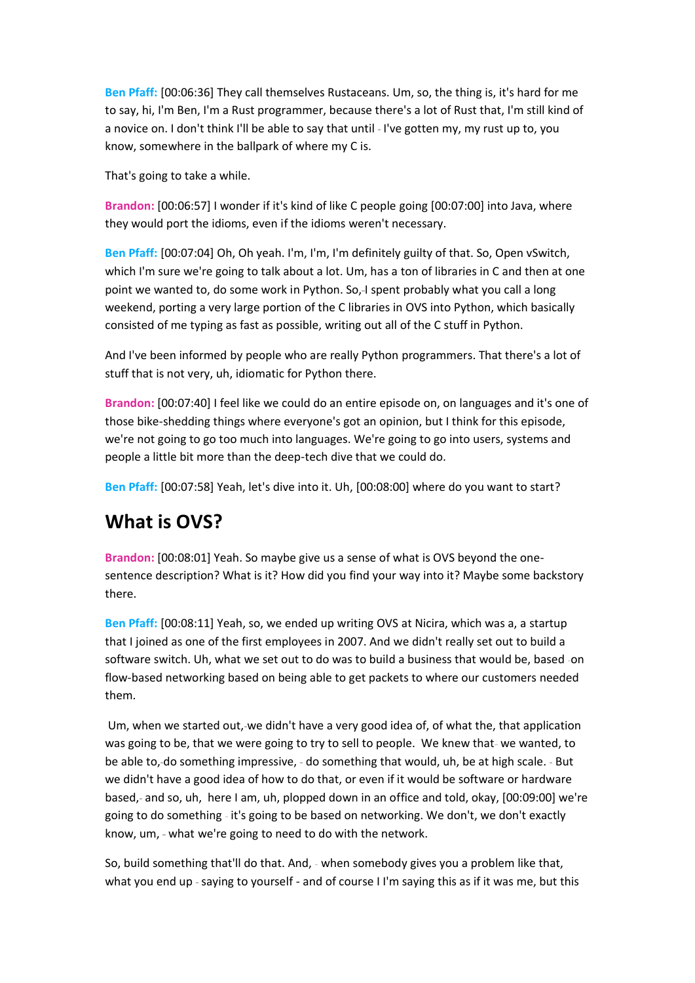**Ben Pfaff:** [00:06:36] They call themselves Rustaceans. Um, so, the thing is, it's hard for me to say, hi, I'm Ben, I'm a Rust programmer, because there's a lot of Rust that, I'm still kind of a novice on. I don't think I'll be able to say that until - I've gotten my, my rust up to, you know, somewhere in the ballpark of where my C is.

That's going to take a while.

**Brandon:** [00:06:57] I wonder if it's kind of like C people going [00:07:00] into Java, where they would port the idioms, even if the idioms weren't necessary.

**Ben Pfaff:** [00:07:04] Oh, Oh yeah. I'm, I'm, I'm definitely guilty of that. So, Open vSwitch, which I'm sure we're going to talk about a lot. Um, has a ton of libraries in C and then at one point we wanted to, do some work in Python. So,-I spent probably what you call a long weekend, porting a very large portion of the C libraries in OVS into Python, which basically consisted of me typing as fast as possible, writing out all of the C stuff in Python.

And I've been informed by people who are really Python programmers. That there's a lot of stuff that is not very, uh, idiomatic for Python there.

**Brandon:** [00:07:40] I feel like we could do an entire episode on, on languages and it's one of those bike-shedding things where everyone's got an opinion, but I think for this episode, we're not going to go too much into languages. We're going to go into users, systems and people a little bit more than the deep-tech dive that we could do.

**Ben Pfaff:** [00:07:58] Yeah, let's dive into it. Uh, [00:08:00] where do you want to start?

## **What is OVS?**

**Brandon:** [00:08:01] Yeah. So maybe give us a sense of what is OVS beyond the onesentence description? What is it? How did you find your way into it? Maybe some backstory there.

**Ben Pfaff:** [00:08:11] Yeah, so, we ended up writing OVS at Nicira, which was a, a startup that I joined as one of the first employees in 2007. And we didn't really set out to build a software switch. Uh, what we set out to do was to build a business that would be, based -on flow-based networking based on being able to get packets to where our customers needed them.

Um, when we started out, we didn't have a very good idea of, of what the, that application was going to be, that we were going to try to sell to people. We knew that-we wanted, to be able to,-do something impressive, - do something that would, uh, be at high scale. - But we didn't have a good idea of how to do that, or even if it would be software or hardware based, and so, uh, here I am, uh, plopped down in an office and told, okay, [00:09:00] we're going to do something - it's going to be based on networking. We don't, we don't exactly know, um, - what we're going to need to do with the network.

So, build something that'll do that. And, - when somebody gives you a problem like that, what you end up - saying to yourself - and of course I I'm saying this as if it was me, but this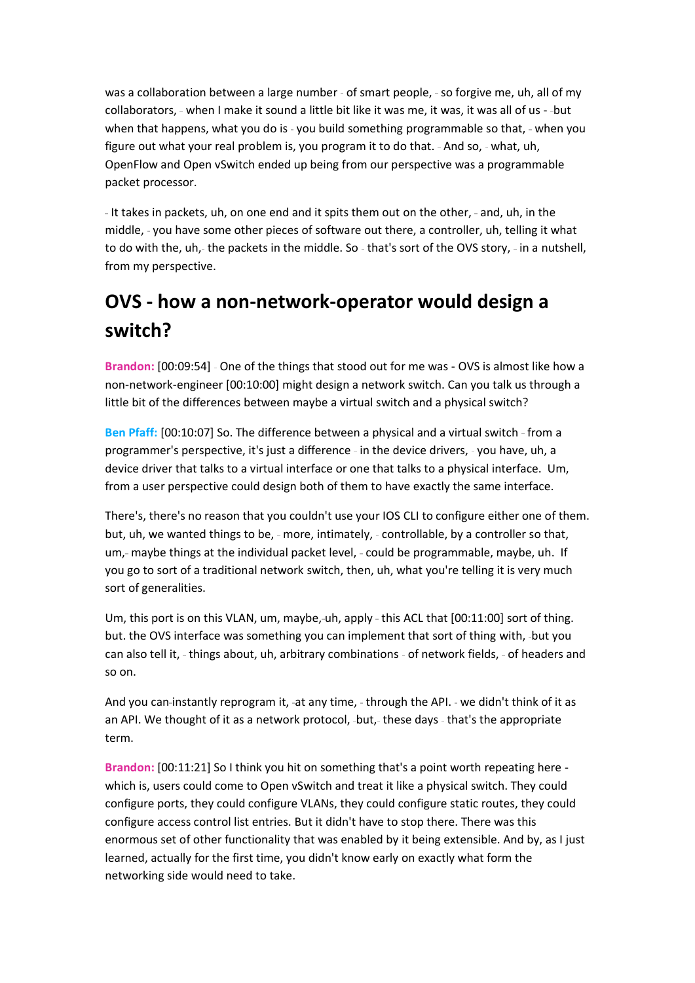was a collaboration between a large number - of smart people, - so forgive me, uh, all of my collaborators, when I make it sound a little bit like it was me, it was, it was all of us - but when that happens, what you do is - you build something programmable so that, - when you figure out what your real problem is, you program it to do that. - And so, - what, uh, OpenFlow and Open vSwitch ended up being from our perspective was a programmable packet processor.

- It takes in packets, uh, on one end and it spits them out on the other, - and, uh, in the middle, - you have some other pieces of software out there, a controller, uh, telling it what to do with the, uh,- the packets in the middle. So - that's sort of the OVS story, - in a nutshell, from my perspective.

# **OVS - how a non-network-operator would design a switch?**

Brandon: [00:09:54] - One of the things that stood out for me was - OVS is almost like how a non-network-engineer [00:10:00] might design a network switch. Can you talk us through a little bit of the differences between maybe a virtual switch and a physical switch?

**Ben Pfaff:** [00:10:07] So. The difference between a physical and a virtual switch - from a programmer's perspective, it's just a difference - in the device drivers, - you have, uh, a device driver that talks to a virtual interface or one that talks to a physical interface. Um, from a user perspective could design both of them to have exactly the same interface.

There's, there's no reason that you couldn't use your IOS CLI to configure either one of them. but, uh, we wanted things to be, - more, intimately, - controllable, by a controller so that, um,- maybe things at the individual packet level, - could be programmable, maybe, uh. If you go to sort of a traditional network switch, then, uh, what you're telling it is very much sort of generalities.

Um, this port is on this VLAN, um, maybe,-uh, apply - this ACL that [00:11:00] sort of thing. but. the OVS interface was something you can implement that sort of thing with, -but you can also tell it, - things about, uh, arbitrary combinations - of network fields, - of headers and so on.

And you can-instantly reprogram it, -at any time, - through the API. - we didn't think of it as an API. We thought of it as a network protocol, -but,-these days - that's the appropriate term.

**Brandon:** [00:11:21] So I think you hit on something that's a point worth repeating here which is, users could come to Open vSwitch and treat it like a physical switch. They could configure ports, they could configure VLANs, they could configure static routes, they could configure access control list entries. But it didn't have to stop there. There was this enormous set of other functionality that was enabled by it being extensible. And by, as I just learned, actually for the first time, you didn't know early on exactly what form the networking side would need to take.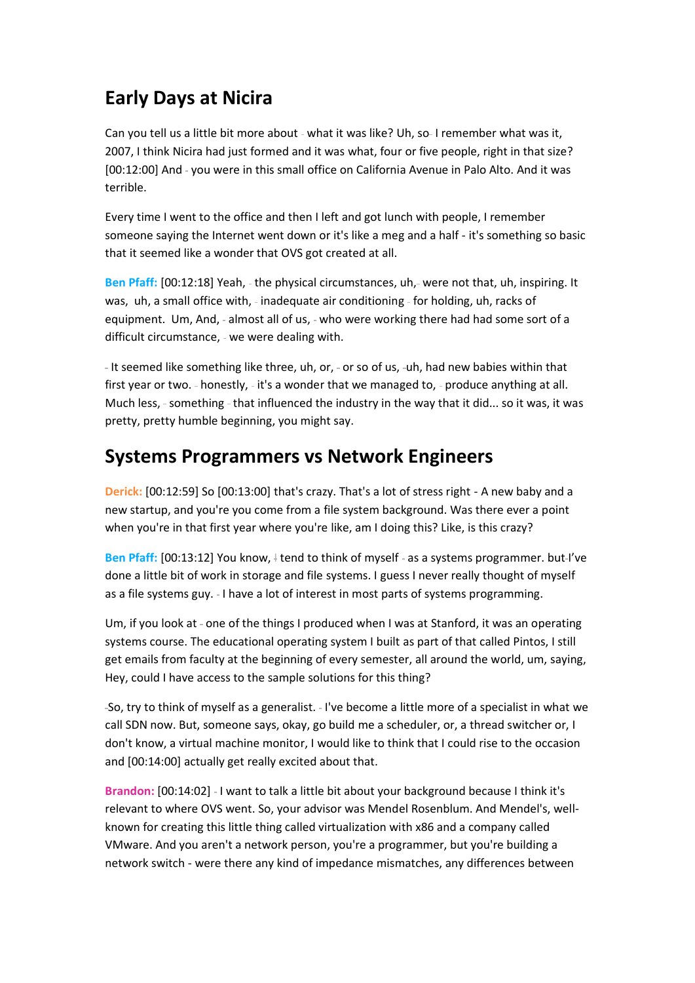## **Early Days at Nicira**

Can you tell us a little bit more about - what it was like? Uh, so-I remember what was it, 2007, I think Nicira had just formed and it was what, four or five people, right in that size? [00:12:00] And - you were in this small office on California Avenue in Palo Alto. And it was terrible.

Every time I went to the office and then I left and got lunch with people, I remember someone saying the Internet went down or it's like a meg and a half - it's something so basic that it seemed like a wonder that OVS got created at all.

Ben Pfaff: [00:12:18] Yeah, - the physical circumstances, uh, - were not that, uh, inspiring. It was, uh, a small office with, - inadequate air conditioning - for holding, uh, racks of equipment. Um, And, - almost all of us, - who were working there had had some sort of a difficult circumstance, - we were dealing with.

- It seemed like something like three, uh, or, - or so of us, -uh, had new babies within that first year or two. - honestly, - it's a wonder that we managed to, - produce anything at all. Much less, - something - that influenced the industry in the way that it did... so it was, it was pretty, pretty humble beginning, you might say.

### **Systems Programmers vs Network Engineers**

**Derick:** [00:12:59] So [00:13:00] that's crazy. That's a lot of stress right - A new baby and a new startup, and you're you come from a file system background. Was there ever a point when you're in that first year where you're like, am I doing this? Like, is this crazy?

Ben Pfaff: [00:13:12] You know, I tend to think of myself - as a systems programmer. but-I've done a little bit of work in storage and file systems. I guess I never really thought of myself as a file systems guy. - I have a lot of interest in most parts of systems programming.

Um, if you look at - one of the things I produced when I was at Stanford, it was an operating systems course. The educational operating system I built as part of that called Pintos, I still get emails from faculty at the beginning of every semester, all around the world, um, saying, Hey, could I have access to the sample solutions for this thing?

-So, try to think of myself as a generalist. - I've become a little more of a specialist in what we call SDN now. But, someone says, okay, go build me a scheduler, or, a thread switcher or, I don't know, a virtual machine monitor, I would like to think that I could rise to the occasion and [00:14:00] actually get really excited about that.

Brandon: [00:14:02] - I want to talk a little bit about your background because I think it's relevant to where OVS went. So, your advisor was Mendel Rosenblum. And Mendel's, wellknown for creating this little thing called virtualization with x86 and a company called VMware. And you aren't a network person, you're a programmer, but you're building a network switch - were there any kind of impedance mismatches, any differences between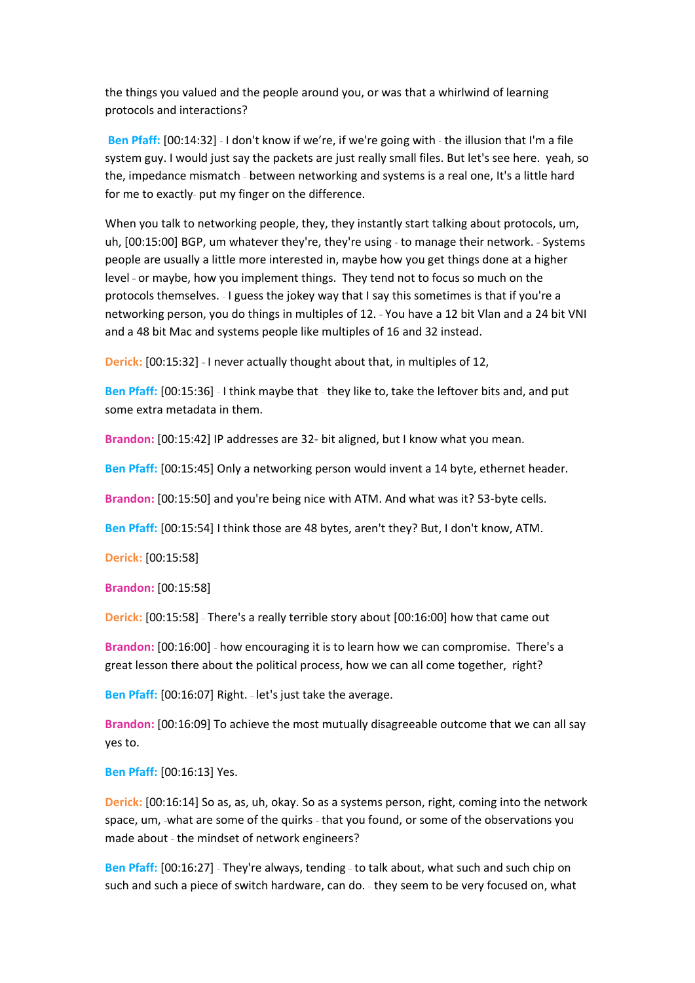the things you valued and the people around you, or was that a whirlwind of learning protocols and interactions?

Ben Pfaff: [00:14:32] - I don't know if we're, if we're going with - the illusion that I'm a file system guy. I would just say the packets are just really small files. But let's see here. yeah, so the, impedance mismatch - between networking and systems is a real one, It's a little hard for me to exactly- put my finger on the difference.

When you talk to networking people, they, they instantly start talking about protocols, um, uh, [00:15:00] BGP, um whatever they're, they're using - to manage their network. - Systems people are usually a little more interested in, maybe how you get things done at a higher level - or maybe, how you implement things. They tend not to focus so much on the protocols themselves. I guess the jokey way that I say this sometimes is that if you're a networking person, you do things in multiples of 12. - You have a 12 bit Vlan and a 24 bit VNI and a 48 bit Mac and systems people like multiples of 16 and 32 instead.

**Derick:** [00:15:32] - I never actually thought about that, in multiples of 12,

Ben Pfaff: [00:15:36] - I think maybe that - they like to, take the leftover bits and, and put some extra metadata in them.

**Brandon:** [00:15:42] IP addresses are 32- bit aligned, but I know what you mean.

**Ben Pfaff:** [00:15:45] Only a networking person would invent a 14 byte, ethernet header.

**Brandon:** [00:15:50] and you're being nice with ATM. And what was it? 53-byte cells.

**Ben Pfaff:** [00:15:54] I think those are 48 bytes, aren't they? But, I don't know, ATM.

**Derick:** [00:15:58]

**Brandon:** [00:15:58]

**Derick:** [00:15:58] - There's a really terrible story about [00:16:00] how that came out

**Brandon:** [00:16:00] how encouraging it is to learn how we can compromise. There's a great lesson there about the political process, how we can all come together, right?

**Ben Pfaff:** [00:16:07] Right. - let's just take the average.

**Brandon:** [00:16:09] To achieve the most mutually disagreeable outcome that we can all say yes to.

**Ben Pfaff:** [00:16:13] Yes.

**Derick:** [00:16:14] So as, as, uh, okay. So as a systems person, right, coming into the network space, um, -what are some of the quirks - that you found, or some of the observations you made about - the mindset of network engineers?

Ben Pfaff: [00:16:27] - They're always, tending - to talk about, what such and such chip on such and such a piece of switch hardware, can do. - they seem to be very focused on, what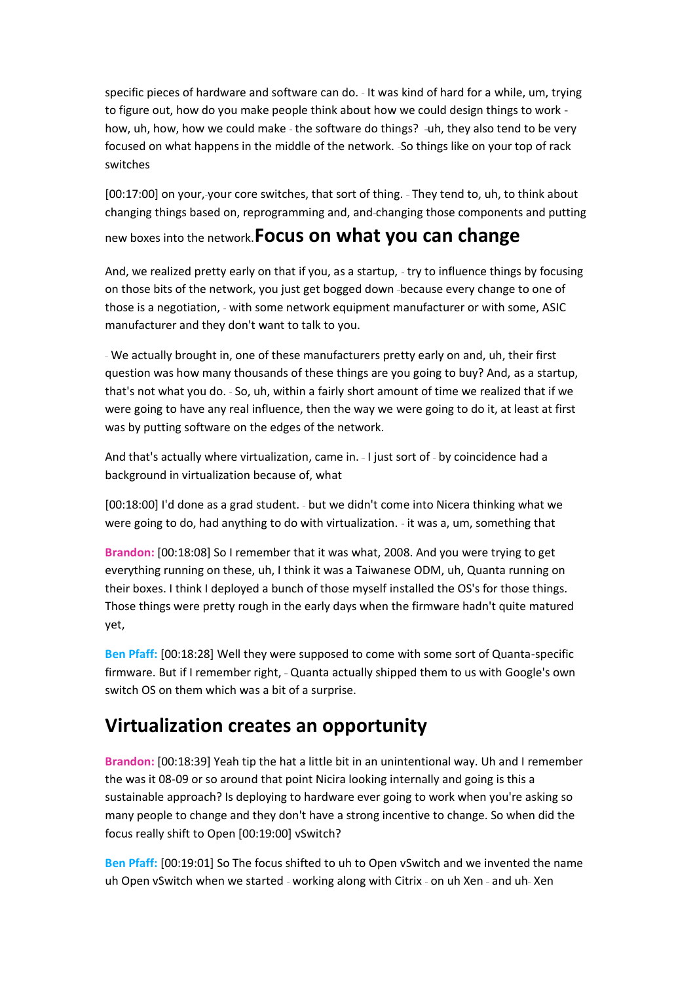specific pieces of hardware and software can do. - It was kind of hard for a while, um, trying to figure out, how do you make people think about how we could design things to work how, uh, how, how we could make - the software do things? -uh, they also tend to be very focused on what happens in the middle of the network. -So things like on your top of rack switches

[00:17:00] on your,-your core switches, that sort of thing. - They tend to, uh, to think about changing things based on, reprogramming and, and changing those components and putting

new boxes into the network.**Focus on what you can change**

And, we realized pretty early on that if you, as a startup, - try to influence things by focusing on those bits of the network, you just get bogged down -because every change to one of those is a negotiation, - with some network equipment manufacturer or with some, ASIC manufacturer and they don't want to talk to you.

We actually brought in, one of these manufacturers pretty early on and, uh, their first question was how many thousands of these things are you going to buy? And, as a startup, that's not what you do. - So, uh, within a fairly short amount of time we realized that if we were going to have any real influence, then the way we were going to do it, at least at first was by putting software on the edges of the network.

And that's actually where virtualization, came in. - I just sort of - by coincidence had a background in virtualization because of, what

[00:18:00] I'd done as a grad student. - but we didn't come into Nicera thinking what we were going to do, had anything to do with virtualization. - it was a, um, something that

**Brandon:** [00:18:08] So I remember that it was what, 2008. And you were trying to get everything running on these, uh, I think it was a Taiwanese ODM, uh, Quanta running on their boxes. I think I deployed a bunch of those myself installed the OS's for those things. Those things were pretty rough in the early days when the firmware hadn't quite matured yet,

**Ben Pfaff:** [00:18:28] Well they were supposed to come with some sort of Quanta-specific firmware. But if I remember right, - Quanta actually shipped them to us with Google's own switch OS on them which was a bit of a surprise.

### **Virtualization creates an opportunity**

**Brandon:** [00:18:39] Yeah tip the hat a little bit in an unintentional way. Uh and I remember the was it 08-09 or so around that point Nicira looking internally and going is this a sustainable approach? Is deploying to hardware ever going to work when you're asking so many people to change and they don't have a strong incentive to change. So when did the focus really shift to Open [00:19:00] vSwitch?

**Ben Pfaff:** [00:19:01] So The focus shifted to uh to Open vSwitch and we invented the name uh Open vSwitch when we started - working along with Citrix - on uh Xen - and uh-Xen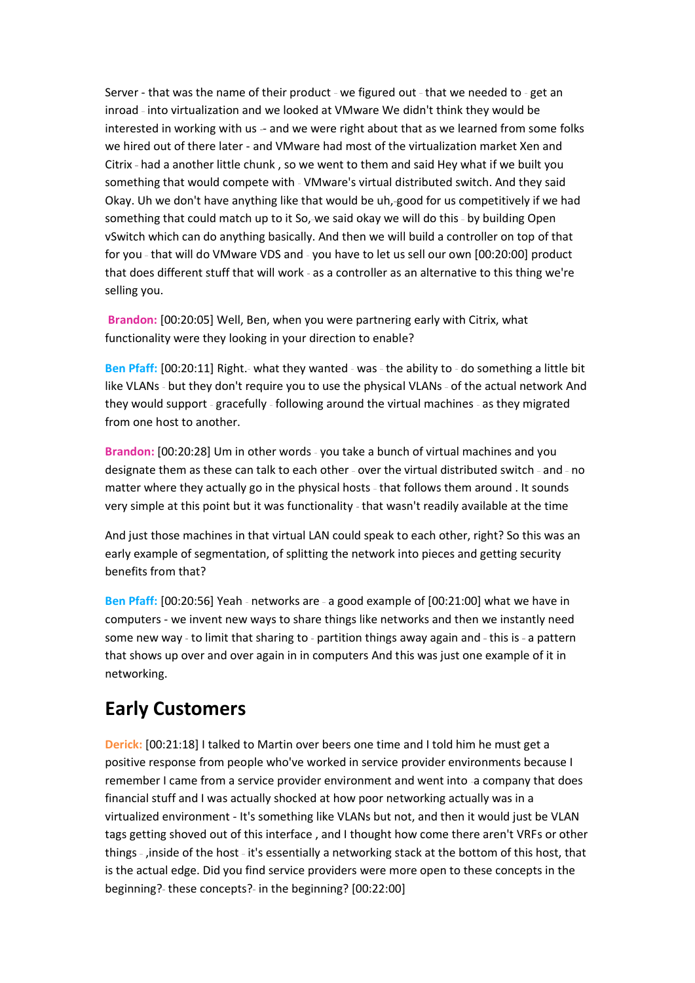Server - that was the name of their product - we figured out - that we needed to - get an inroad - into virtualization and we looked at VMware We didn't think they would be interested in working with us - and we were right about that as we learned from some folks we hired out of there later - and VMware had most of the virtualization market Xen and Citrix - had a another little chunk, so we went to them and said Hey what if we built you something that would compete with - VMware's virtual distributed switch. And they said Okay. Uh we don't have anything like that would be uh, good for us competitively if we had something that could match up to it So,-we said okay we will do this - by building Open vSwitch which can do anything basically. And then we will build a controller on top of that for you - that will do VMware VDS and - you have to let us sell our own [00:20:00] product that does different stuff that will work - as a controller as an alternative to this thing we're selling you.

**Brandon:** [00:20:05] Well, Ben, when you were partnering early with Citrix, what functionality were they looking in your direction to enable?

Ben Pfaff: [00:20:11] Right.- what they wanted - was - the ability to - do something a little bit like VLANs - but they don't require you to use the physical VLANs - of the actual network And they would support - gracefully - following around the virtual machines - as they migrated from one host to another.

Brandon: [00:20:28] Um in other words - you take a bunch of virtual machines and you designate them as these can talk to each other - over the virtual distributed switch - and - no matter where they actually go in the physical hosts - that follows them around . It sounds very simple at this point but it was functionality - that wasn't readily available at the time

And just those machines in that virtual LAN could speak to each other, right? So this was an early example of segmentation, of splitting the network into pieces and getting security benefits from that?

Ben Pfaff: [00:20:56] Yeah - networks are - a good example of [00:21:00] what we have in computers - we invent new ways to share things like networks and then we instantly need some new way - to limit that sharing to - partition things away again and - this is - a pattern that shows up over and over again in in computers And this was just one example of it in networking.

### **Early Customers**

**Derick:** [00:21:18] I talked to Martin over beers one time and I told him he must get a positive response from people who've worked in service provider environments because I remember I came from a service provider environment and went into -a company that does financial stuff and I was actually shocked at how poor networking actually was in a virtualized environment - It's something like VLANs but not, and then it would just be VLAN tags getting shoved out of this interface , and I thought how come there aren't VRFs or other things - , inside of the host - it's essentially a networking stack at the bottom of this host, that is the actual edge. Did you find service providers were more open to these concepts in the beginning?- these concepts?- in the beginning? [00:22:00]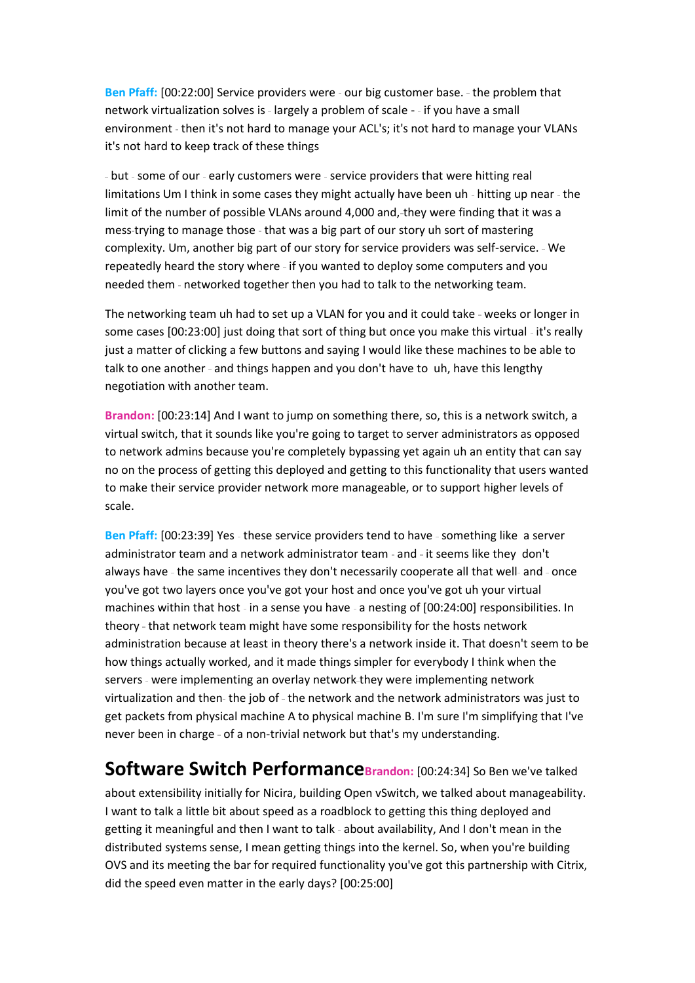Ben Pfaff: [00:22:00] Service providers were - our big customer base. - the problem that network virtualization solves is - largely a problem of scale - - if you have a small environment - then it's not hard to manage your ACL's; it's not hard to manage your VLANs it's not hard to keep track of these things

- but - some of our - early customers were - service providers that were hitting real limitations Um I think in some cases they might actually have been uh - hitting up near - the limit of the number of possible VLANs around 4,000 and, they were finding that it was a mess-trying to manage those - that was a big part of our story uh sort of mastering complexity. Um, another big part of our story for service providers was self-service. - We repeatedly heard the story where - if you wanted to deploy some computers and you needed them - networked together then you had to talk to the networking team.

The networking team uh had to set up a VLAN for you and it could take - weeks or longer in some cases [00:23:00] just doing that sort of thing but once you make this virtual - it's really just a matter of clicking a few buttons and saying I would like these machines to be able to talk to one another - and things happen and you don't have to uh, have this lengthy negotiation with another team.

**Brandon:** [00:23:14] And I want to jump on something there, so, this is a network switch, a virtual switch, that it sounds like you're going to target to server administrators as opposed to network admins because you're completely bypassing yet again uh an entity that can say no on the process of getting this deployed and getting to this functionality that users wanted to make their service provider network more manageable, or to support higher levels of scale.

Ben Pfaff: [00:23:39] Yes - these service providers tend to have - something like a server administrator team and a network administrator team - and - it seems like they don't always have - the same incentives they don't necessarily cooperate all that well- and - once you've got two layers once you've got your host and once you've got uh your virtual machines within that host - in a sense you have - a nesting of [00:24:00] responsibilities. In theory - that network team might have some responsibility for the hosts network administration because at least in theory there's a network inside it. That doesn't seem to be how things actually worked, and it made things simpler for everybody I think when the servers - were implementing an overlay network they were implementing network virtualization and then- the job of - the network and the network administrators was just to get packets from physical machine A to physical machine B. I'm sure I'm simplifying that I've never been in charge - of a non-trivial network but that's my understanding.

### **Software Switch PerformanceBrandon:** [00:24:34] So Ben we've talked

about extensibility initially for Nicira, building Open vSwitch, we talked about manageability. I want to talk a little bit about speed as a roadblock to getting this thing deployed and getting it meaningful and then I want to talk - about availability, And I don't mean in the distributed systems sense, I mean getting things into the kernel. So, when you're building OVS and its meeting the bar for required functionality you've got this partnership with Citrix, did the speed even matter in the early days? [00:25:00]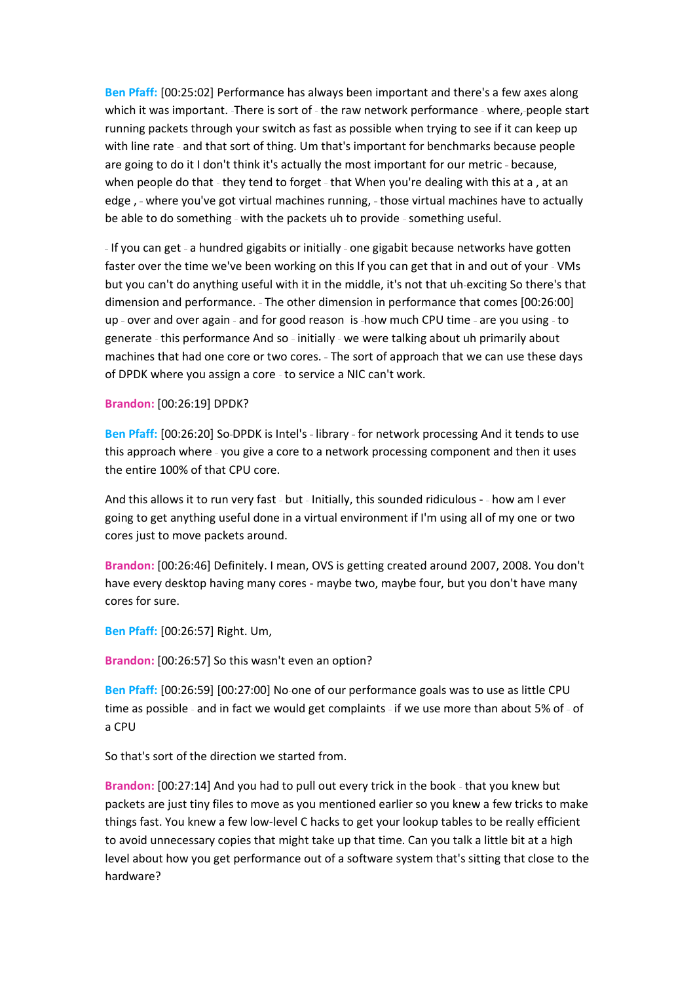**Ben Pfaff:** [00:25:02] Performance has always been important and there's a few axes along which it was important. -There is sort of - the raw network performance - where, people start running packets through your switch as fast as possible when trying to see if it can keep up with line rate - and that sort of thing. Um that's important for benchmarks because people are going to do it I don't think it's actually the most important for our metric - because, when people do that - they tend to forget - that When you're dealing with this at a, at an edge, - where you've got virtual machines running, - those virtual machines have to actually be able to do something - with the packets uh to provide - something useful.

- If you can get - a hundred gigabits or initially - one gigabit because networks have gotten faster over the time we've been working on this If you can get that in and out of your - VMs but you can't do anything useful with it in the middle, it's not that uh exciting So there's that dimension and performance. - The other dimension in performance that comes [00:26:00] up - over and over again - and for good reason is -how much CPU time - are you using - to generate - this performance And so - initially - we were talking about uh primarily about machines that had one core or two cores. - The sort of approach that we can use these days of DPDK where you assign a core - to service a NIC can't work.

#### **Brandon:** [00:26:19] DPDK?

Ben Pfaff: [00:26:20] So-DPDK is Intel's - library - for network processing And it tends to use this approach where - you give a core to a network processing component and then it uses the entire 100% of that CPU core.

And this allows it to run very fast - but - Initially, this sounded ridiculous - - how am I ever going to get anything useful done in a virtual environment if I'm using all of my one or two cores just to move packets around.

**Brandon:** [00:26:46] Definitely. I mean, OVS is getting created around 2007, 2008. You don't have every desktop having many cores - maybe two, maybe four, but you don't have many cores for sure.

**Ben Pfaff:** [00:26:57] Right. Um,

**Brandon:** [00:26:57] So this wasn't even an option?

**Ben Pfaff:** [00:26:59] [00:27:00] No one of our performance goals was to use as little CPU time as possible - and in fact we would get complaints - if we use more than about 5% of - of a CPU

So that's sort of the direction we started from.

Brandon: [00:27:14] And you had to pull out every trick in the book - that you knew but packets are just tiny files to move as you mentioned earlier so you knew a few tricks to make things fast. You knew a few low-level C hacks to get your lookup tables to be really efficient to avoid unnecessary copies that might take up that time. Can you talk a little bit at a high level about how you get performance out of a software system that's sitting that close to the hardware?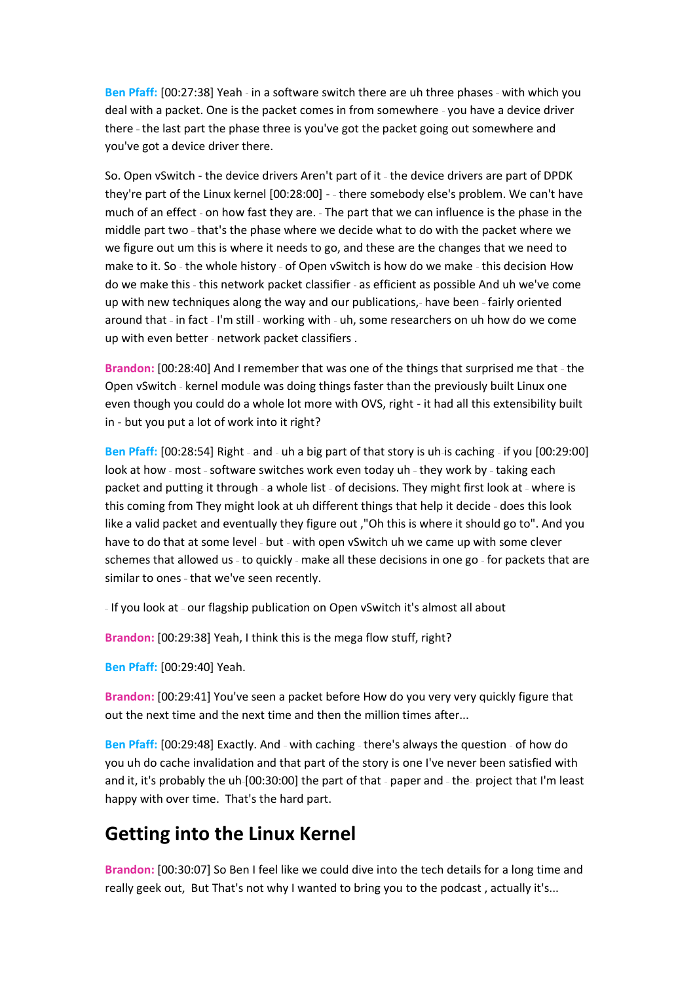Ben Pfaff: [00:27:38] Yeah - in a software switch there are uh three phases - with which you deal with a packet. One is the packet comes in from somewhere - you have a device driver there - the last part the phase three is you've got the packet going out somewhere and you've got a device driver there.

So. Open vSwitch - the device drivers Aren't part of it - the device drivers are part of DPDK they're part of the Linux kernel [00:28:00] - there somebody else's problem. We can't have much of an effect - on how fast they are. - The part that we can influence is the phase in the middle part two - that's the phase where we decide what to do with the packet where we we figure out um this is where it needs to go, and these are the changes that we need to make to it. So - the whole history - of Open vSwitch is how do we make - this decision How do we make this - this network packet classifier - as efficient as possible And uh we've come up with new techniques along the way and our publications,- have been - fairly oriented around that - in fact - I'm still - working with - uh, some researchers on uh how do we come up with even better - network packet classifiers .

**Brandon:** [00:28:40] And I remember that was one of the things that surprised me that - the Open vSwitch - kernel module was doing things faster than the previously built Linux one even though you could do a whole lot more with OVS, right - it had all this extensibility built in - but you put a lot of work into it right?

Ben Pfaff: [00:28:54] Right - and - uh a big part of that story is uh-is caching - if you [00:29:00] look at how - most - software switches work even today uh - they work by - taking each packet and putting it through - a whole list - of decisions. They might first look at - where is this coming from They might look at uh different things that help it decide - does this look like a valid packet and eventually they figure out ,"Oh this is where it should go to". And you have to do that at some level - but - with open vSwitch uh we came up with some clever schemes that allowed us - to quickly - make all these decisions in one go - for packets that are similar to ones - that we've seen recently.

- If you look at - our flagship publication on Open vSwitch it's almost all about

**Brandon:** [00:29:38] Yeah, I think this is the mega flow stuff, right?

**Ben Pfaff:** [00:29:40] Yeah.

**Brandon:** [00:29:41] You've seen a packet before How do you very very quickly figure that out the next time and the next time and then the million times after...

Ben Pfaff: [00:29:48] Exactly. And - with caching - there's always the question - of how do you uh do cache invalidation and that part of the story is one I've never been satisfied with and it, it's probably the uh-[00:30:00] the part of that - paper and - the- project that I'm least happy with over time. That's the hard part.

### **Getting into the Linux Kernel**

**Brandon:** [00:30:07] So Ben I feel like we could dive into the tech details for a long time and really geek out, But That's not why I wanted to bring you to the podcast , actually it's...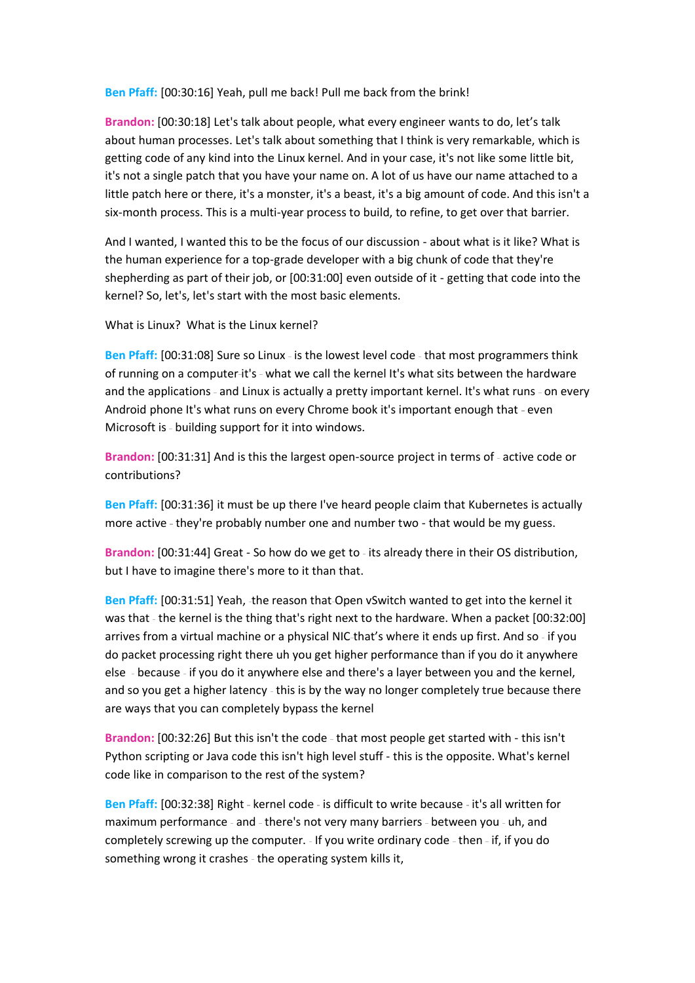**Ben Pfaff:** [00:30:16] Yeah, pull me back! Pull me back from the brink!

**Brandon:** [00:30:18] Let's talk about people, what every engineer wants to do, let's talk about human processes. Let's talk about something that I think is very remarkable, which is getting code of any kind into the Linux kernel. And in your case, it's not like some little bit, it's not a single patch that you have your name on. A lot of us have our name attached to a little patch here or there, it's a monster, it's a beast, it's a big amount of code. And this isn't a six-month process. This is a multi-year process to build, to refine, to get over that barrier.

And I wanted, I wanted this to be the focus of our discussion - about what is it like? What is the human experience for a top-grade developer with a big chunk of code that they're shepherding as part of their job, or [00:31:00] even outside of it - getting that code into the kernel? So, let's, let's start with the most basic elements.

What is Linux? What is the Linux kernel?

Ben Pfaff: [00:31:08] Sure so Linux - is the lowest level code - that most programmers think of running on a computer-it's - what we call the kernel It's what sits between the hardware and the applications - and Linux is actually a pretty important kernel. It's what runs - on every Android phone It's what runs on every Chrome book it's important enough that - even Microsoft is - building support for it into windows.

Brandon: [00:31:31] And is this the largest open-source project in terms of - active code or contributions?

**Ben Pfaff:** [00:31:36] it must be up there I've heard people claim that Kubernetes is actually more active - they're probably number one and number two - that would be my guess.

Brandon: [00:31:44] Great - So how do we get to - its already there in their OS distribution, but I have to imagine there's more to it than that.

**Ben Pfaff:** [00:31:51] Yeah, the reason that Open vSwitch wanted to get into the kernel it was that - the kernel is the thing that's right next to the hardware. When a packet [00:32:00] arrives from a virtual machine or a physical NIC-that's where it ends up first. And so - if you do packet processing right there uh you get higher performance than if you do it anywhere else because if you do it anywhere else and there's a layer between you and the kernel, and so you get a higher latency - this is by the way no longer completely true because there are ways that you can completely bypass the kernel

Brandon: [00:32:26] But this isn't the code - that most people get started with - this isn't Python scripting or Java code this isn't high level stuff - this is the opposite. What's kernel code like in comparison to the rest of the system?

Ben Pfaff: [00:32:38] Right - kernel code - is difficult to write because - it's all written for maximum performance - and - there's not very many barriers - between you - uh, and completely screwing up the computer. - If you write ordinary code - then - if, if you do something wrong it crashes - the operating system kills it,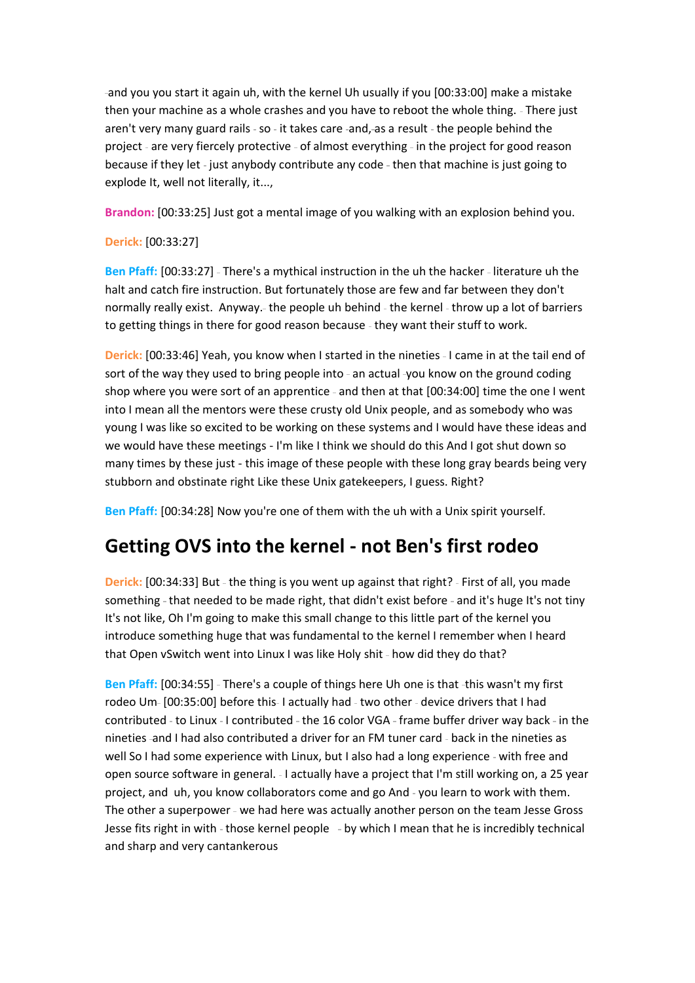and you you start it again uh, with the kernel Uh usually if you [00:33:00] make a mistake then your machine as a whole crashes and you have to reboot the whole thing. - There just aren't very many guard rails - so - it takes care -and, as a result - the people behind the project - are very fiercely protective - of almost everything - in the project for good reason because if they let - just anybody contribute any code - then that machine is just going to explode It, well not literally, it...,

**Brandon:** [00:33:25] Just got a mental image of you walking with an explosion behind you.

#### **Derick:** [00:33:27]

**Ben Pfaff:** [00:33:27] - There's a mythical instruction in the uh the hacker - literature uh the halt and catch fire instruction. But fortunately those are few and far between they don't normally really exist. Anyway.- the people uh behind - the kernel - throw up a lot of barriers to getting things in there for good reason because - they want their stuff to work.

**Derick:** [00:33:46] Yeah, you know when I started in the nineties - I came in at the tail end of sort of the way they used to bring people into - an actual -you know on the ground coding shop where you were sort of an apprentice - and then at that [00:34:00] time the one I went into I mean all the mentors were these crusty old Unix people, and as somebody who was young I was like so excited to be working on these systems and I would have these ideas and we would have these meetings - I'm like I think we should do this And I got shut down so many times by these just - this image of these people with these long gray beards being very stubborn and obstinate right Like these Unix gatekeepers, I guess. Right?

**Ben Pfaff:** [00:34:28] Now you're one of them with the uh with a Unix spirit yourself.

## **Getting OVS into the kernel - not Ben's first rodeo**

**Derick:** [00:34:33] But - the thing is you went up against that right? - First of all, you made something - that needed to be made right, that didn't exist before - and it's huge It's not tiny It's not like, Oh I'm going to make this small change to this little part of the kernel you introduce something huge that was fundamental to the kernel I remember when I heard that Open vSwitch went into Linux I was like Holy shit - how did they do that?

Ben Pfaff: [00:34:55] - There's a couple of things here Uh one is that -this wasn't my first rodeo Um- [00:35:00] before this-I actually had - two other - device drivers that I had contributed - to Linux - I contributed - the 16 color VGA - frame buffer driver way back - in the nineties -and I had also contributed a driver for an FM tuner card - back in the nineties as well So I had some experience with Linux, but I also had a long experience - with free and open source software in general. - I actually have a project that I'm still working on, a 25 year project, and uh, you know collaborators come and go And - you learn to work with them. The other a superpower - we had here was actually another person on the team Jesse Gross Jesse fits right in with - those kernel people - by which I mean that he is incredibly technical and sharp and very cantankerous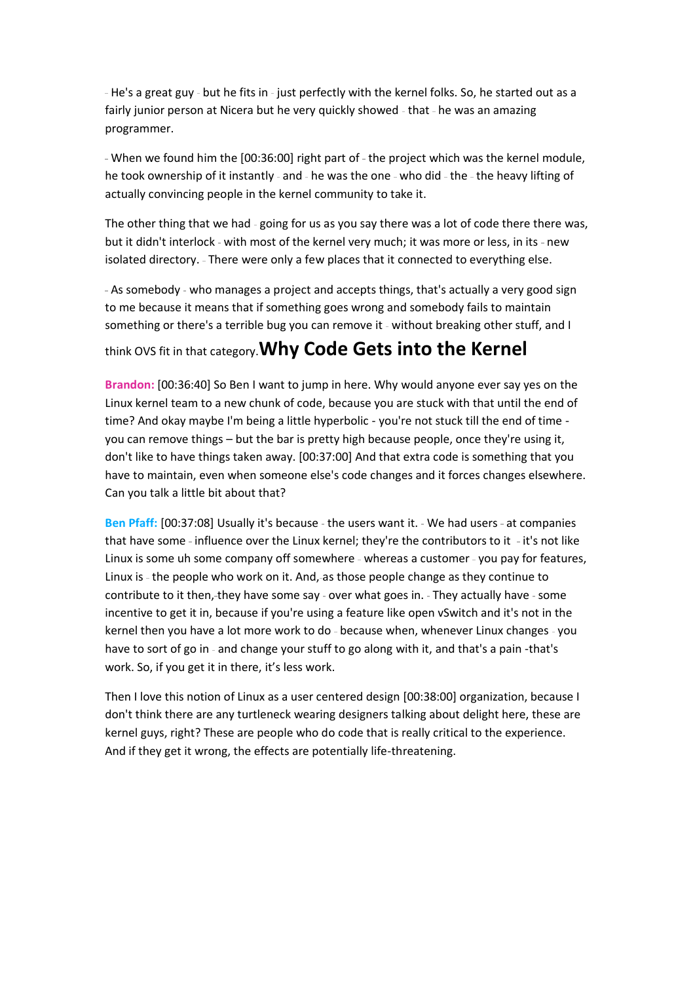- He's a great guy - but he fits in - just perfectly with the kernel folks. So, he started out as a fairly junior person at Nicera but he very quickly showed - that - he was an amazing programmer.

- When we found him the [00:36:00] right part of - the project which was the kernel module, he took ownership of it instantly - and - he was the one - who did - the - the heavy lifting of actually convincing people in the kernel community to take it.

The other thing that we had - going for us as you say there was a lot of code there there was, but it didn't interlock - with most of the kernel very much; it was more or less, in its - new isolated directory. - There were only a few places that it connected to everything else.

- As somebody - who manages a project and accepts things, that's actually a very good sign to me because it means that if something goes wrong and somebody fails to maintain something or there's a terrible bug you can remove it - without breaking other stuff, and I

### think OVS fit in that category.**Why Code Gets into the Kernel**

**Brandon:** [00:36:40] So Ben I want to jump in here. Why would anyone ever say yes on the Linux kernel team to a new chunk of code, because you are stuck with that until the end of time? And okay maybe I'm being a little hyperbolic - you're not stuck till the end of time you can remove things – but the bar is pretty high because people, once they're using it, don't like to have things taken away. [00:37:00] And that extra code is something that you have to maintain, even when someone else's code changes and it forces changes elsewhere. Can you talk a little bit about that?

Ben Pfaff: [00:37:08] Usually it's because - the users want it. - We had users - at companies that have some - influence over the Linux kernel; they're the contributors to it - it's not like Linux is some uh some company off somewhere - whereas a customer - you pay for features, Linux is - the people who work on it. And, as those people change as they continue to contribute to it then, they have some say - over what goes in. - They actually have - some incentive to get it in, because if you're using a feature like open vSwitch and it's not in the kernel then you have a lot more work to do - because when, whenever Linux changes - you have to sort of go in - and change your stuff to go along with it, and that's a pain -that's work. So, if you get it in there, it's less work.

Then I love this notion of Linux as a user centered design [00:38:00] organization, because I don't think there are any turtleneck wearing designers talking about delight here, these are kernel guys, right? These are people who do code that is really critical to the experience. And if they get it wrong, the effects are potentially life-threatening.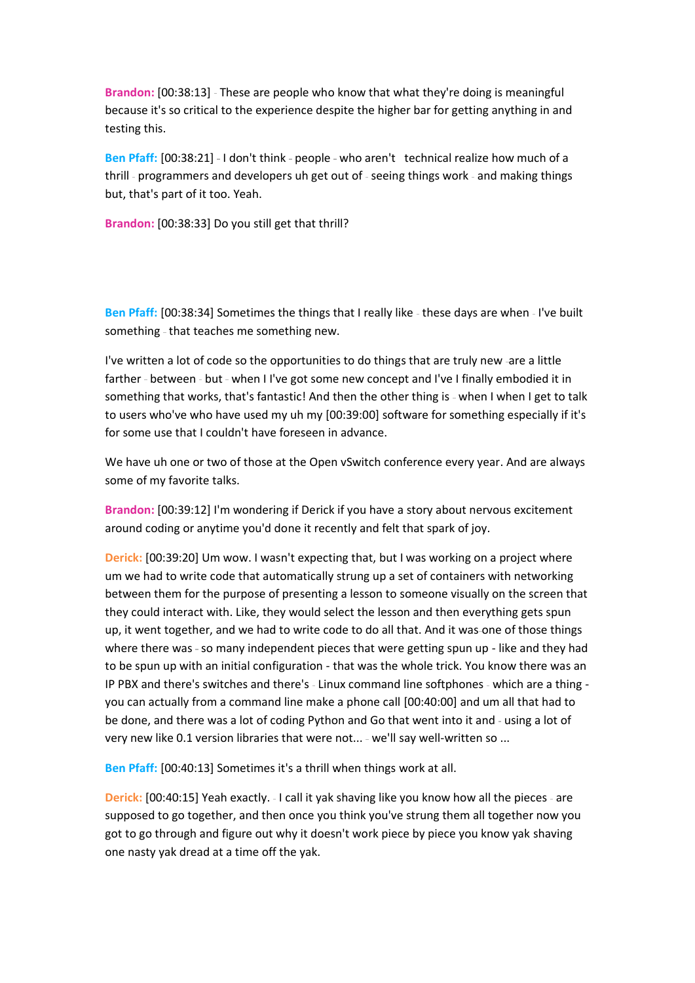Brandon: [00:38:13] - These are people who know that what they're doing is meaningful because it's so critical to the experience despite the higher bar for getting anything in and testing this.

Ben Pfaff: [00:38:21] - I don't think - people - who aren't technical realize how much of a thrill - programmers and developers uh get out of - seeing things work - and making things but, that's part of it too. Yeah.

**Brandon:** [00:38:33] Do you still get that thrill?

Ben Pfaff: [00:38:34] Sometimes the things that I really like - these days are when - I've built something - that teaches me something new.

I've written a lot of code so the opportunities to do things that are truly new -are a little farther - between - but - when I I've got some new concept and I've I finally embodied it in something that works, that's fantastic! And then the other thing is - when I when I get to talk to users who've who have used my uh my [00:39:00] software for something especially if it's for some use that I couldn't have foreseen in advance.

We have uh one or two of those at the Open vSwitch conference every year. And are always some of my favorite talks.

**Brandon:** [00:39:12] I'm wondering if Derick if you have a story about nervous excitement around coding or anytime you'd done it recently and felt that spark of joy.

**Derick:** [00:39:20] Um wow. I wasn't expecting that, but I was working on a project where um we had to write code that automatically strung up a set of containers with networking between them for the purpose of presenting a lesson to someone visually on the screen that they could interact with. Like, they would select the lesson and then everything gets spun up, it went together, and we had to write code to do all that. And it was one of those things where there was - so many independent pieces that were getting spun up - like and they had to be spun up with an initial configuration - that was the whole trick. You know there was an IP PBX and there's switches and there's - Linux command line softphones - which are a thing you can actually from a command line make a phone call [00:40:00] and um all that had to be done, and there was a lot of coding Python and Go that went into it and - using a lot of very new like 0.1 version libraries that were not... - we'll say well-written so ...

**Ben Pfaff:** [00:40:13] Sometimes it's a thrill when things work at all.

**Derick:** [00:40:15] Yeah exactly. - I call it yak shaving like you know how all the pieces - are supposed to go together, and then once you think you've strung them all together now you got to go through and figure out why it doesn't work piece by piece you know yak shaving one nasty yak dread at a time off the yak.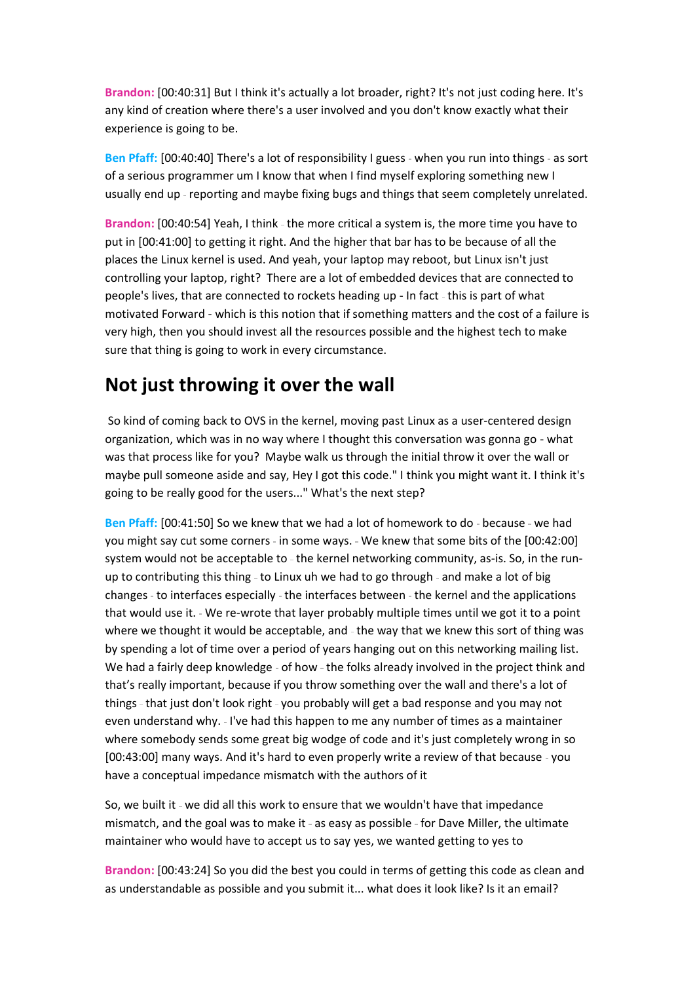**Brandon:** [00:40:31] But I think it's actually a lot broader, right? It's not just coding here. It's any kind of creation where there's a user involved and you don't know exactly what their experience is going to be.

Ben Pfaff: [00:40:40] There's a lot of responsibility I guess - when you run into things - as sort of a serious programmer um I know that when I find myself exploring something new I usually end up - reporting and maybe fixing bugs and things that seem completely unrelated.

Brandon: [00:40:54] Yeah, I think - the more critical a system is, the more time you have to put in [00:41:00] to getting it right. And the higher that bar has to be because of all the places the Linux kernel is used. And yeah, your laptop may reboot, but Linux isn't just controlling your laptop, right? There are a lot of embedded devices that are connected to people's lives, that are connected to rockets heading up - In fact - this is part of what motivated Forward - which is this notion that if something matters and the cost of a failure is very high, then you should invest all the resources possible and the highest tech to make sure that thing is going to work in every circumstance.

### **Not just throwing it over the wall**

So kind of coming back to OVS in the kernel, moving past Linux as a user-centered design organization, which was in no way where I thought this conversation was gonna go - what was that process like for you? Maybe walk us through the initial throw it over the wall or maybe pull someone aside and say, Hey I got this code." I think you might want it. I think it's going to be really good for the users..." What's the next step?

Ben Pfaff: [00:41:50] So we knew that we had a lot of homework to do - because - we had you might say cut some corners - in some ways. - We knew that some bits of the [00:42:00] system would not be acceptable to - the kernel networking community, as-is. So, in the runup to contributing this thing - to Linux uh we had to go through - and make a lot of big changes - to interfaces especially - the interfaces between - the kernel and the applications that would use it. We re-wrote that layer probably multiple times until we got it to a point where we thought it would be acceptable, and - the way that we knew this sort of thing was by spending a lot of time over a period of years hanging out on this networking mailing list. We had a fairly deep knowledge - of how - the folks already involved in the project think and that's really important, because if you throw something over the wall and there's a lot of things - that just don't look right - you probably will get a bad response and you may not even understand why. - I've had this happen to me any number of times as a maintainer where somebody sends some great big wodge of code and it's just completely wrong in so [00:43:00] many ways. And it's hard to even properly write a review of that because - you have a conceptual impedance mismatch with the authors of it

So, we built it - we did all this work to ensure that we wouldn't have that impedance mismatch, and the goal was to make it - as easy as possible - for Dave Miller, the ultimate maintainer who would have to accept us to say yes, we wanted getting to yes to

**Brandon:** [00:43:24] So you did the best you could in terms of getting this code as clean and as understandable as possible and you submit it... what does it look like? Is it an email?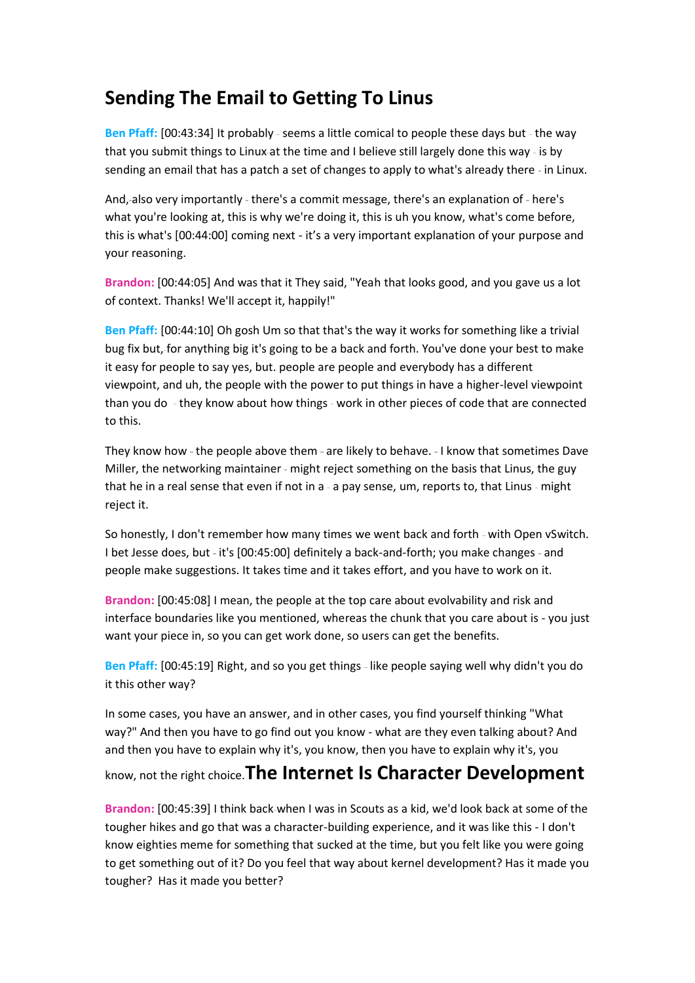## **Sending The Email to Getting To Linus**

Ben Pfaff: [00:43:34] It probably - seems a little comical to people these days but - the way that you submit things to Linux-at the time and I believe still largely done this way - is by sending an email that has a patch a set of changes to apply to what's already there - in Linux.

And, also very importantly - there's a commit message, there's an explanation of - here's what you're looking at, this is why we're doing it, this is uh you know, what's come before, this is what's [00:44:00] coming next - it's a very important explanation of your purpose and your reasoning.

**Brandon:** [00:44:05] And was that it They said, "Yeah that looks good, and you gave us a lot of context. Thanks! We'll accept it, happily!"

**Ben Pfaff:** [00:44:10] Oh gosh Um so that that's the way it works for something like a trivial bug fix but, for anything big it's going to be a back and forth. You've done your best to make it easy for people to say yes, but. people are people and everybody has a different viewpoint, and uh, the people with the power to put things in have a higher-level viewpoint than you do - they know about how things - work in other pieces of code that are connected to this.

They know how - the people above them - are likely to behave. - I know that sometimes Dave Miller, the networking maintainer - might reject something on the basis that Linus, the guy that he in a real sense that even if not in a - a pay sense, um, reports to, that Linus - might reject it.

So honestly, I don't remember how many times we went back and forth - with Open vSwitch. I bet Jesse does, but - it's [00:45:00] definitely a back-and-forth; you make changes - and people make suggestions. It takes time and it takes effort, and you have to work on it.

**Brandon:** [00:45:08] I mean, the people at the top care about evolvability and risk and interface boundaries like you mentioned, whereas the chunk that you care about is - you just want your piece in, so you can get work done, so users can get the benefits.

Ben Pfaff: [00:45:19] Right, and so you get things - like people saying well why didn't you do it this other way?

In some cases, you have an answer, and in other cases, you find yourself thinking "What way?" And then you have to go find out you know - what are they even talking about? And and then you have to explain why it's, you know, then you have to explain why it's, you

know, not the right choice.**The Internet Is Character Development**

**Brandon:** [00:45:39] I think back when I was in Scouts as a kid, we'd look back at some of the tougher hikes and go that was a character-building experience, and it was like this - I don't know eighties meme for something that sucked at the time, but you felt like you were going to get something out of it? Do you feel that way about kernel development? Has it made you tougher? Has it made you better?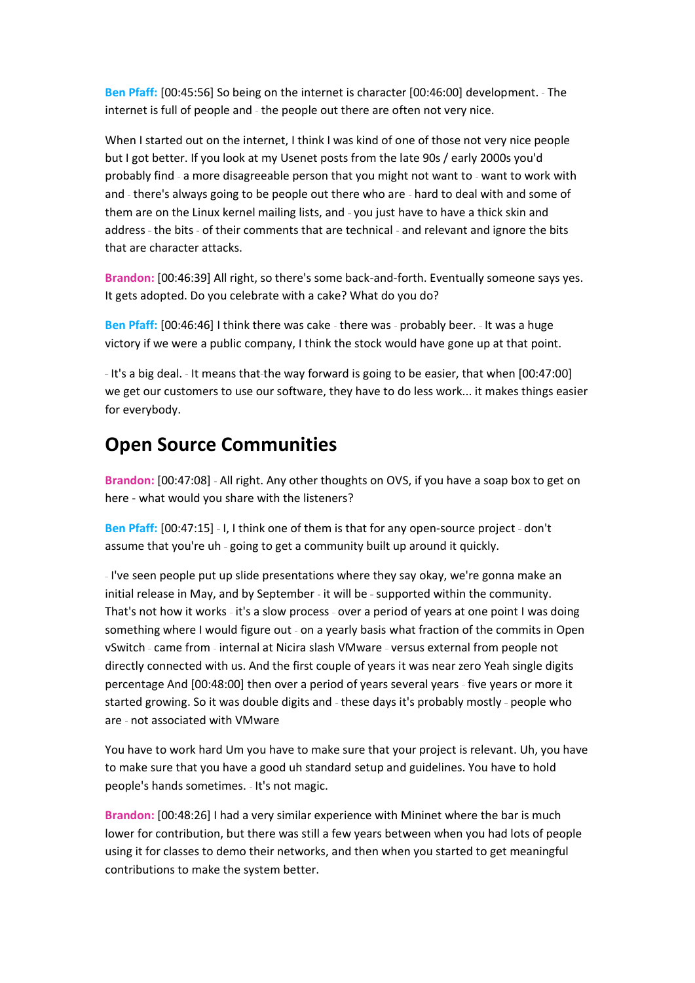**Ben Pfaff:** [00:45:56] So being on the internet is character [00:46:00] development. The internet is full of people and - the people out there are often not very nice.

When I started out on the internet, I think I was kind of one of those not very nice people but I got better. If you look at my Usenet posts from the late 90s / early 2000s you'd probably find - a more disagreeable person that you might not want to - want to work with and - there's always going to be people out there who are - hard to deal with and some of them are on the Linux kernel mailing lists, and - you just have to have a thick skin and address - the bits - of their comments that are technical - and relevant and ignore the bits that are character attacks.

**Brandon:** [00:46:39] All right, so there's some back-and-forth. Eventually someone says yes. It gets adopted. Do you celebrate with a cake? What do you do?

**Ben Pfaff:** [00:46:46] I think there was cake - there was - probably beer. - It was a huge victory if we were a public company, I think the stock would have gone up at that point.

- It's a big deal. - It means that-the way forward is going to be easier, that when [00:47:00] we get our customers to use our software, they have to do less work... it makes things easier for everybody.

## **Open Source Communities**

Brandon: [00:47:08] - All right. Any other thoughts on OVS, if you have a soap box to get on here - what would you share with the listeners?

Ben Pfaff: [00:47:15] - I, I think one of them is that for any open-source project - don't assume that you're uh - going to get a community built up around it quickly.

-I've seen people put up slide presentations where they say okay, we're gonna make an initial release in May, and by September - it will be - supported within the community. That's not how it works - it's a slow process - over a period of years at one point I was doing something where I would figure out - on a yearly basis what fraction of the commits in Open vSwitch - came from - internal at Nicira slash VMware - versus external from people not directly connected with us. And the first couple of years it was near zero Yeah single digits percentage And [00:48:00] then over a period of years several years five years or more it started growing. So it was double digits and - these days it's probably mostly - people who are - not associated with VMware

You have to work hard Um you have to make sure that your project is relevant. Uh, you have to make sure that you have a good uh standard setup and guidelines. You have to hold people's hands sometimes. - It's not magic.

**Brandon:** [00:48:26] I had a very similar experience with Mininet where the bar is much lower for contribution, but there was still a few years between when you had lots of people using it for classes to demo their networks, and then when you started to get meaningful contributions to make the system better.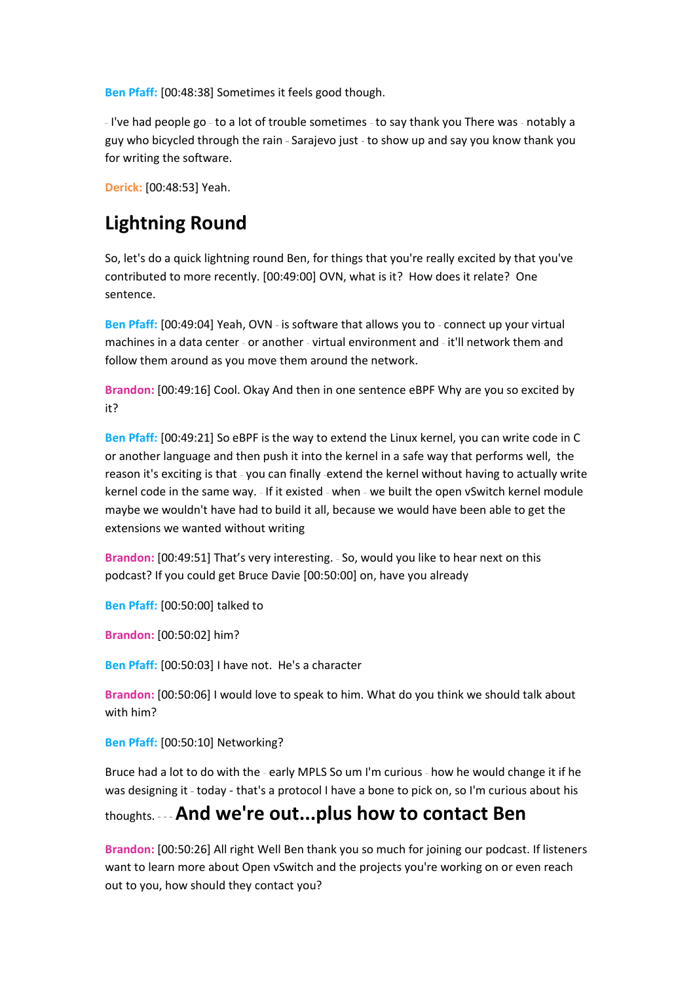**Ben Pfaff:** [00:48:38] Sometimes it feels good though.

- I've had people go - to a lot of trouble sometimes - to say thank you There was - notably a guy who bicycled through the rain - Sarajevo just - to show up and say you know thank you for writing the software.

**Derick:** [00:48:53] Yeah.

## **Lightning Round**

So, let's do a quick lightning round Ben, for things that you're really excited by that you've contributed to more recently. [00:49:00] OVN, what is it? How does it relate? One sentence.

Ben Pfaff: [00:49:04] Yeah, OVN - is software that allows you to - connect up your virtual machines in a data center - or another - virtual environment and - it'll network them-and follow them around as you move them around the network.

**Brandon:** [00:49:16] Cool. Okay And then in one sentence eBPF Why are you so excited by it?

**Ben Pfaff:** [00:49:21] So eBPF is the way to extend the Linux kernel, you can write code in C or another language and then push it into the kernel in a safe way that performs well, the reason it's exciting is that - you can finally -extend the kernel without having to actually write kernel code in the same way. - If it existed - when - we built the open vSwitch kernel module maybe we wouldn't have had to build it all, because we would have been able to get the extensions we wanted without writing

Brandon: [00:49:51] That's very interesting. - So, would you like to hear next on this podcast? If you could get Bruce Davie [00:50:00] on, have you already

**Ben Pfaff:** [00:50:00] talked to

**Brandon:** [00:50:02] him?

**Ben Pfaff:** [00:50:03] I have not. He's a character

**Brandon:** [00:50:06] I would love to speak to him. What do you think we should talk about with him?

**Ben Pfaff:** [00:50:10] Networking?

Bruce had a lot to do with the - early MPLS So um I'm curious - how he would change it if he was designing it - today - that's a protocol I have a bone to pick on, so I'm curious about his

### thoughts. **And we're out...plus how to contact Ben**

**Brandon:** [00:50:26] All right Well Ben thank you so much for joining our podcast. If listeners want to learn more about Open vSwitch and the projects you're working on or even reach out to you, how should they contact you?